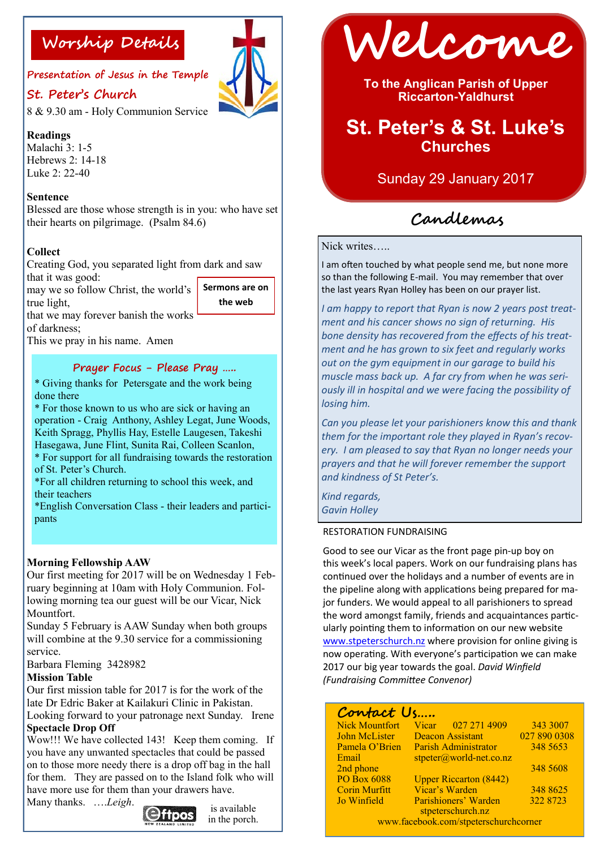**Presentation of Jesus in the Temple**

# **St. Peter's Church**

8 & 9.30 am - Holy Communion Service

# **Readings**

Malachi 3: 1-5 Hebrews 2: 14-18 Luke  $2: 22-40$ 

## **Sentence**

Blessed are those whose strength is in you: who have set their hearts on pilgrimage. (Psalm 84.6)

# **Collect**

Creating God, you separated light from dark and saw that it was good:

may we so follow Christ, the world's true light, **Sermons are on** 

**the web**

that we may forever banish the works of darkness;

This we pray in his name. Amen

# **Prayer Focus - Please Pray …..**

\* Giving thanks for Petersgate and the work being done there

\* For those known to us who are sick or having an operation - Craig Anthony, Ashley Legat, June Woods, Keith Spragg, Phyllis Hay, Estelle Laugesen, Takeshi Hasegawa, June Flint, Sunita Rai, Colleen Scanlon, \* For support for all fundraising towards the restoration

of St. Peter's Church.

\*For all children returning to school this week, and their teachers

\*English Conversation Class - their leaders and participants

### **Morning Fellowship AAW**

Our first meeting for 2017 will be on Wednesday 1 February beginning at 10am with Holy Communion. Following morning tea our guest will be our Vicar, Nick Mountfort.

Sunday 5 February is AAW Sunday when both groups will combine at the 9.30 service for a commissioning service.

Barbara Fleming 3428982

### **Mission Table**

Our first mission table for 2017 is for the work of the late Dr Edric Baker at Kailakuri Clinic in Pakistan. Looking forward to your patronage next Sunday. Irene **Spectacle Drop Off** 

Wow!!! We have collected 143! Keep them coming. If you have any unwanted spectacles that could be passed on to those more needy there is a drop off bag in the hall for them. They are passed on to the Island folk who will have more use for them than your drawers have.

Many thanks. ….*Leigh*.



is available in the porch.



**To the Anglican Parish of Upper Riccarton-Yaldhurst**

# **St. Peter's & St. Luke's Churches**

Sunday 29 January 2017

# **Candlemas**

Nick writes…..

I am often touched by what people send me, but none more so than the following E-mail. You may remember that over the last years Ryan Holley has been on our prayer list.

*I am happy to report that Ryan is now 2 years post treatment and his cancer shows no sign of returning. His bone density has recovered from the effects of his treatment and he has grown to six feet and regularly works out on the gym equipment in our garage to build his muscle mass back up. A far cry from when he was seriously ill in hospital and we were facing the possibility of losing him.*

*Can you please let your parishioners know this and thank them for the important role they played in Ryan's recovery. I am pleased to say that Ryan no longer needs your prayers and that he will forever remember the support and kindness of St Peter's.*

*Kind regards, Gavin Holley*

### RESTORATION FUNDRAISING

Good to see our Vicar as the front page pin-up boy on this week's local papers. Work on our fundraising plans has continued over the holidays and a number of events are in the pipeline along with applications being prepared for major funders. We would appeal to all parishioners to spread the word amongst family, friends and acquaintances particularly pointing them to information on our new website [www.stpeterschurch.nz](http://www.stpeterschurch.nz) where provision for online giving is now operating. With everyone's participation we can make 2017 our big year towards the goal. *David Winfield (Fundraising Committee Convenor)*

| Contact Us                            |                                           |              |
|---------------------------------------|-------------------------------------------|--------------|
| <b>Nick Mountfort</b>                 | Vicar 027 271 4909                        | 343 3007     |
| John McLister                         | <b>Deacon Assistant</b>                   | 027 890 0308 |
| Pamela O'Brien                        | Parish Administrator                      | 348 5653     |
| Email                                 | stpeter@world-net.co.nz                   |              |
| 2nd phone                             |                                           | 348 5608     |
| <b>PO Box 6088</b>                    | <b>Upper Riccarton (8442)</b>             |              |
| <b>Corin Murfitt</b>                  | Vicar's Warden                            | 348 8625     |
| Jo Winfield                           | Parishioners' Warden<br>stpeterschurch.nz | 322 8723     |
| www.facebook.com/stpeterschurchcorner |                                           |              |